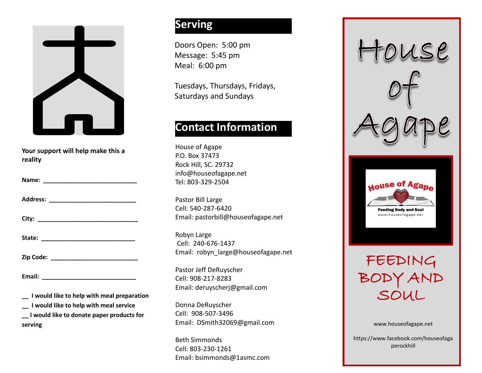

**Your support will help make this a reality**

| Name: |  |  |  |
|-------|--|--|--|
|       |  |  |  |

**Address: \_\_\_\_\_\_\_\_\_\_\_\_\_\_\_\_\_\_\_\_\_\_\_\_\_\_**

**City: \_\_\_\_\_\_\_\_\_\_\_\_\_\_\_\_\_\_\_\_\_\_\_\_\_\_\_\_\_\_**

| State: |  |  |  |  |
|--------|--|--|--|--|
|        |  |  |  |  |

**Zip Code: \_\_\_\_\_\_\_\_\_\_\_\_\_\_\_\_\_\_\_\_\_\_\_\_\_\_**

**Email: \_\_\_\_\_\_\_\_\_\_\_\_\_\_\_\_\_\_\_\_\_\_\_\_\_\_\_\_**

**\_\_ I would like to help with meal preparation**

**\_\_ I would like to help with meal service**

**\_\_ I would like to donate paper products for serving**

# **Serving**

Doors Open: 5:00 pm Message: 5:45 pm Meal: 6:00 pm

Tuesdays, Thursdays, Fridays, Saturdays and Sundays

## **Contact Information**

House of Agape P.O. Box 37473 Rock Hill, SC. 29732 info@houseofagape.net Tel: 803-329-2504

Pastor Bill Large Cell: 540-287-6420 Email: pastorbill@houseofagape.net

Robyn Large Cell: 240-676-1437 Email: robyn\_large@houseofagape.net

Pastor Jeff DeRuyscher Cell: 908-217-8283 Email: deruyscherj@gmail.com

Donna DeRuyscher Cell: 908-507-3496 Email: DSmith32069@gmail.com

Beth Simmonds Cell: 803-230-1261 Email: bsimmonds@1asmc.com



https://www.facebook.com/houseofaga perockhill